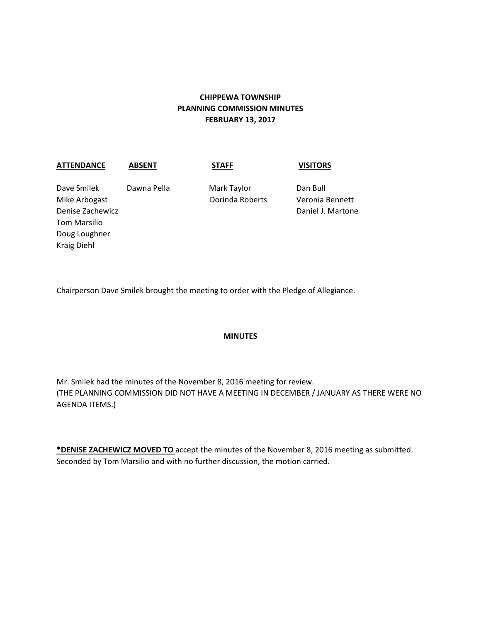# **CHIPPEWA TOWNSHIP PLANNING COMMISSION MINUTES FEBRUARY 13, 2017**

### **ATTENDANCE ABSENT STAFF VISITORS**

Dave Smilek Dawna Pella Mark Taylor Dan Bull Mike Arbogast Dorinda Roberts Veronia Bennett Denise Zachewicz Daniel J. Martone Tom Marsilio Doug Loughner Kraig Diehl

Chairperson Dave Smilek brought the meeting to order with the Pledge of Allegiance.

### **MINUTES**

Mr. Smilek had the minutes of the November 8, 2016 meeting for review. (THE PLANNING COMMISSION DID NOT HAVE A MEETING IN DECEMBER / JANUARY AS THERE WERE NO AGENDA ITEMS.)

**\*DENISE ZACHEWICZ MOVED TO** accept the minutes of the November 8, 2016 meeting as submitted. Seconded by Tom Marsilio and with no further discussion, the motion carried.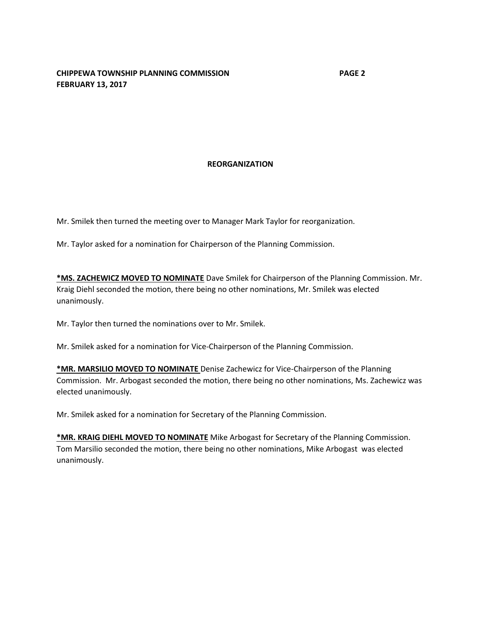### **REORGANIZATION**

Mr. Smilek then turned the meeting over to Manager Mark Taylor for reorganization.

Mr. Taylor asked for a nomination for Chairperson of the Planning Commission.

**\*MS. ZACHEWICZ MOVED TO NOMINATE** Dave Smilek for Chairperson of the Planning Commission. Mr. Kraig Diehl seconded the motion, there being no other nominations, Mr. Smilek was elected unanimously.

Mr. Taylor then turned the nominations over to Mr. Smilek.

Mr. Smilek asked for a nomination for Vice-Chairperson of the Planning Commission.

**\*MR. MARSILIO MOVED TO NOMINATE** Denise Zachewicz for Vice-Chairperson of the Planning Commission. Mr. Arbogast seconded the motion, there being no other nominations, Ms. Zachewicz was elected unanimously.

Mr. Smilek asked for a nomination for Secretary of the Planning Commission.

**\*MR. KRAIG DIEHL MOVED TO NOMINATE** Mike Arbogast for Secretary of the Planning Commission. Tom Marsilio seconded the motion, there being no other nominations, Mike Arbogast was elected unanimously.